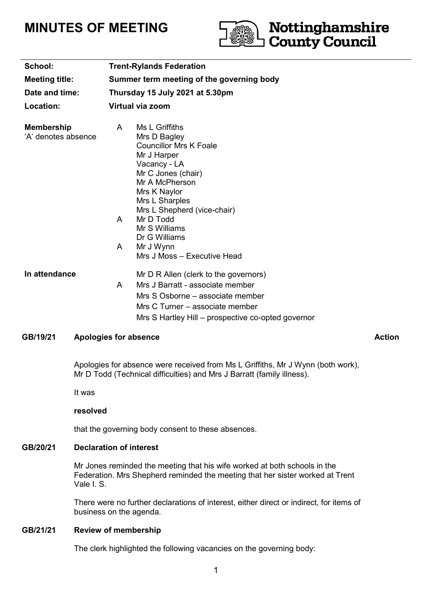# **MINUTES OF MEETING**



| School:                                  | <b>Trent-Rylands Federation</b>                                                                                                                                                                                                                                                    |
|------------------------------------------|------------------------------------------------------------------------------------------------------------------------------------------------------------------------------------------------------------------------------------------------------------------------------------|
| <b>Meeting title:</b>                    | Summer term meeting of the governing body                                                                                                                                                                                                                                          |
| Date and time:                           | Thursday 15 July 2021 at 5.30pm                                                                                                                                                                                                                                                    |
| Location:                                | Virtual via zoom                                                                                                                                                                                                                                                                   |
| <b>Membership</b><br>'A' denotes absence | Ms L Griffiths<br>A<br>Mrs D Bagley<br><b>Councillor Mrs K Foale</b><br>Mr J Harper<br>Vacancy - LA<br>Mr C Jones (chair)<br>Mr A McPherson<br>Mrs K Naylor<br>Mrs L Sharples<br>Mrs L Shepherd (vice-chair)<br>Mr D Todd<br>A<br>Mr S Williams<br>Dr G Williams<br>Mr J Wynn<br>A |
|                                          | Mrs J Moss – Executive Head                                                                                                                                                                                                                                                        |
| In attendance                            | Mr D R Allen (clerk to the governors)<br>Mrs J Barratt - associate member<br>A<br>Mrs S Osborne – associate member<br>Mrs C Turner - associate member                                                                                                                              |
|                                          | Mrs S Hartley Hill – prospective co-opted governor                                                                                                                                                                                                                                 |

# GB/19/21 Apologies for absence Action Action Action

Apologies for absence were received from Ms L Griffiths, Mr J Wynn (both work), Mr D Todd (Technical difficulties) and Mrs J Barratt (family illness).

It was

#### **resolved**

that the governing body consent to these absences.

#### **GB/20/21 Declaration of interest**

Mr Jones reminded the meeting that his wife worked at both schools in the Federation. Mrs Shepherd reminded the meeting that her sister worked at Trent Vale I. S.

There were no further declarations of interest, either direct or indirect, for items of business on the agenda.

#### **GB/21/21 Review of membership**

The clerk highlighted the following vacancies on the governing body: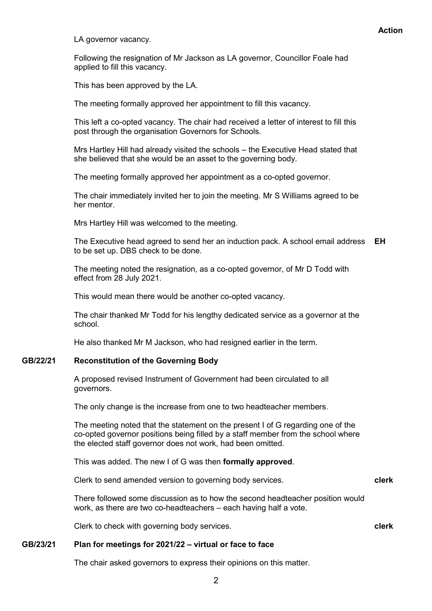LA governor vacancy.

Following the resignation of Mr Jackson as LA governor, Councillor Foale had applied to fill this vacancy.

This has been approved by the LA.

The meeting formally approved her appointment to fill this vacancy.

This left a co-opted vacancy. The chair had received a letter of interest to fill this post through the organisation Governors for Schools.

Mrs Hartley Hill had already visited the schools – the Executive Head stated that she believed that she would be an asset to the governing body.

The meeting formally approved her appointment as a co-opted governor.

The chair immediately invited her to join the meeting. Mr S Williams agreed to be her mentor.

Mrs Hartley Hill was welcomed to the meeting.

The Executive head agreed to send her an induction pack. A school email address **EH** to be set up. DBS check to be done.

The meeting noted the resignation, as a co-opted governor, of Mr D Todd with effect from 28 July 2021.

This would mean there would be another co-opted vacancy.

The chair thanked Mr Todd for his lengthy dedicated service as a governor at the school.

He also thanked Mr M Jackson, who had resigned earlier in the term.

#### **GB/22/21 Reconstitution of the Governing Body**

A proposed revised Instrument of Government had been circulated to all governors.

The only change is the increase from one to two headteacher members.

The meeting noted that the statement on the present I of G regarding one of the co-opted governor positions being filled by a staff member from the school where the elected staff governor does not work, had been omitted.

This was added. The new I of G was then **formally approved**.

Clerk to send amended version to governing body services. **clerk**

There followed some discussion as to how the second headteacher position would work, as there are two co-headteachers – each having half a vote.

Clerk to check with governing body services. **clerk**

# **GB/23/21 Plan for meetings for 2021/22 – virtual or face to face**

The chair asked governors to express their opinions on this matter.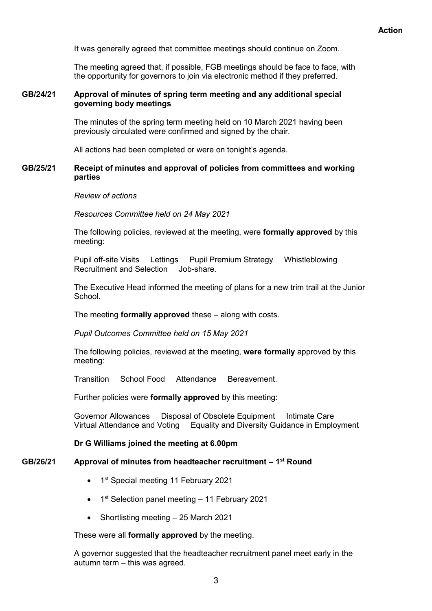It was generally agreed that committee meetings should continue on Zoom.

The meeting agreed that, if possible, FGB meetings should be face to face, with the opportunity for governors to join via electronic method if they preferred.

# **GB/24/21 Approval of minutes of spring term meeting and any additional special governing body meetings**

The minutes of the spring term meeting held on 10 March 2021 having been previously circulated were confirmed and signed by the chair.

All actions had been completed or were on tonight's agenda.

# **GB/25/21 Receipt of minutes and approval of policies from committees and working parties**

# *Review of actions*

*Resources Committee held on 24 May 2021*

The following policies, reviewed at the meeting, were **formally approved** by this meeting:

Pupil off-site Visits Lettings Pupil Premium Strategy Whistleblowing Recruitment and Selection Job-share.

The Executive Head informed the meeting of plans for a new trim trail at the Junior School.

The meeting **formally approved** these – along with costs.

*Pupil Outcomes Committee held on 15 May 2021*

The following policies, reviewed at the meeting, **were formally** approved by this meeting:

Transition School Food Attendance Bereavement.

Further policies were **formally approved** by this meeting:

Governor Allowances Disposal of Obsolete Equipment Intimate Care<br>Virtual Attendance and Voting Equality and Diversity Guidance in Emplo **Equality and Diversity Guidance in Employment** 

# **Dr G Williams joined the meeting at 6.00pm**

# **GB/26/21 Approval of minutes from headteacher recruitment – 1 st Round**

- 1<sup>st</sup> Special meeting 11 February 2021
- 1<sup>st</sup> Selection panel meeting 11 February 2021
- Shortlisting meeting 25 March 2021

These were all **formally approved** by the meeting.

A governor suggested that the headteacher recruitment panel meet early in the autumn term – this was agreed.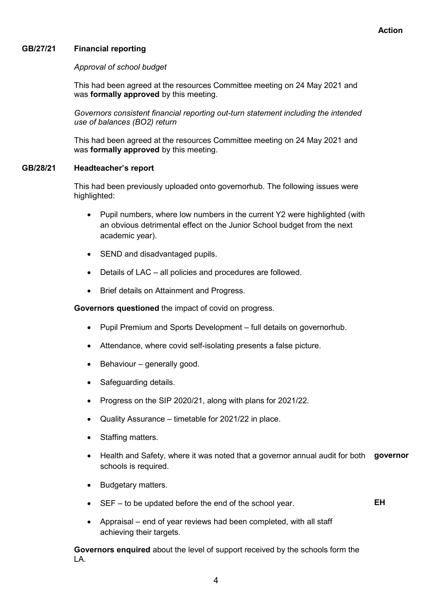# **GB/27/21 Financial reporting**

# *Approval of school budget*

This had been agreed at the resources Committee meeting on 24 May 2021 and was **formally approved** by this meeting.

*Governors consistent financial reporting out-turn statement including the intended use of balances (BO2) return*

This had been agreed at the resources Committee meeting on 24 May 2021 and was **formally approved** by this meeting.

# **GB/28/21 Headteacher's report**

This had been previously uploaded onto governorhub. The following issues were highlighted:

- Pupil numbers, where low numbers in the current Y2 were highlighted (with an obvious detrimental effect on the Junior School budget from the next academic year).
- SEND and disadvantaged pupils.
- Details of LAC all policies and procedures are followed.
- Brief details on Attainment and Progress.

**Governors questioned** the impact of covid on progress.

- Pupil Premium and Sports Development full details on governorhub.
- Attendance, where covid self-isolating presents a false picture.
- $\bullet$  Behaviour generally good.
- Safeguarding details.
- Progress on the SIP 2020/21, along with plans for 2021/22.
- Quality Assurance timetable for 2021/22 in place.
- Staffing matters.
- Health and Safety, where it was noted that a governor annual audit for both **governor** schools is required.
- Budgetary matters.
- SEF to be updated before the end of the school year. **EH**
- Appraisal end of year reviews had been completed, with all staff achieving their targets.

**Governors enquired** about the level of support received by the schools form the LA.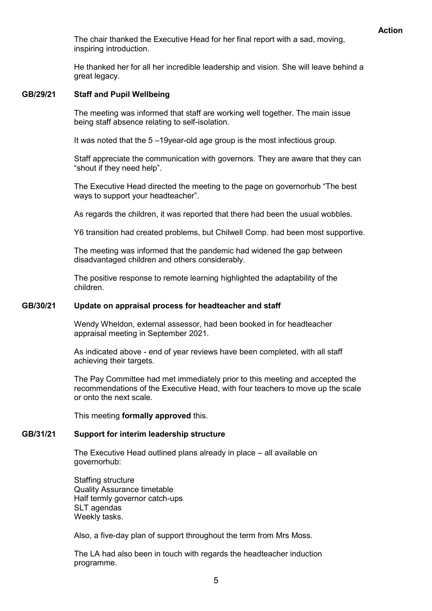The chair thanked the Executive Head for her final report with a sad, moving, inspiring introduction.

He thanked her for all her incredible leadership and vision. She will leave behind a great legacy.

# **GB/29/21 Staff and Pupil Wellbeing**

The meeting was informed that staff are working well together. The main issue being staff absence relating to self-isolation.

It was noted that the 5 –19year-old age group is the most infectious group.

Staff appreciate the communication with governors. They are aware that they can "shout if they need help".

The Executive Head directed the meeting to the page on governorhub "The best ways to support your headteacher".

As regards the children, it was reported that there had been the usual wobbles.

Y6 transition had created problems, but Chilwell Comp. had been most supportive.

The meeting was informed that the pandemic had widened the gap between disadvantaged children and others considerably.

The positive response to remote learning highlighted the adaptability of the children.

#### **GB/30/21 Update on appraisal process for headteacher and staff**

Wendy Wheldon, external assessor, had been booked in for headteacher appraisal meeting in September 2021.

As indicated above - end of year reviews have been completed, with all staff achieving their targets.

The Pay Committee had met immediately prior to this meeting and accepted the recommendations of the Executive Head, with four teachers to move up the scale or onto the next scale.

This meeting **formally approved** this.

# **GB/31/21 Support for interim leadership structure**

The Executive Head outlined plans already in place – all available on governorhub:

Staffing structure Quality Assurance timetable Half termly governor catch-ups SLT agendas Weekly tasks.

Also, a five-day plan of support throughout the term from Mrs Moss.

The LA had also been in touch with regards the headteacher induction programme.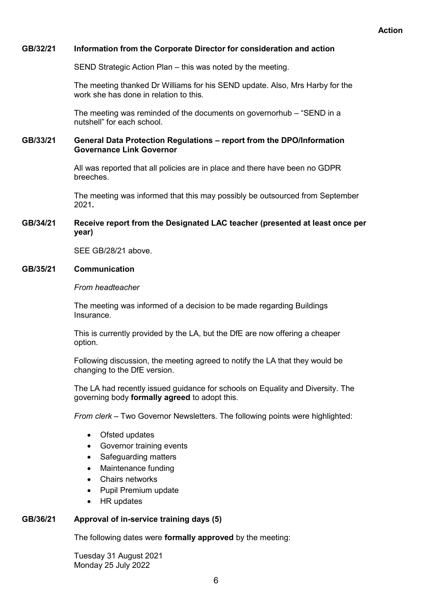# **GB/32/21 Information from the Corporate Director for consideration and action**

SEND Strategic Action Plan – this was noted by the meeting.

The meeting thanked Dr Williams for his SEND update. Also, Mrs Harby for the work she has done in relation to this.

The meeting was reminded of the documents on governorhub – "SEND in a nutshell" for each school.

# **GB/33/21 General Data Protection Regulations – report from the DPO/Information Governance Link Governor**

All was reported that all policies are in place and there have been no GDPR breeches.

The meeting was informed that this may possibly be outsourced from September 2021**.**

# **GB/34/21 Receive report from the Designated LAC teacher (presented at least once per year)**

SEE GB/28/21 above.

# **GB/35/21 Communication**

#### *From headteacher*

The meeting was informed of a decision to be made regarding Buildings **Insurance** 

This is currently provided by the LA, but the DfE are now offering a cheaper option.

Following discussion, the meeting agreed to notify the LA that they would be changing to the DfE version.

The LA had recently issued guidance for schools on Equality and Diversity. The governing body **formally agreed** to adopt this.

*From clerk –* Two Governor Newsletters. The following points were highlighted:

- Ofsted updates
- Governor training events
- Safeguarding matters
- Maintenance funding
- Chairs networks
- Pupil Premium update
- HR updates

# **GB/36/21 Approval of in-service training days (5)**

The following dates were **formally approved** by the meeting:

Tuesday 31 August 2021 Monday 25 July 2022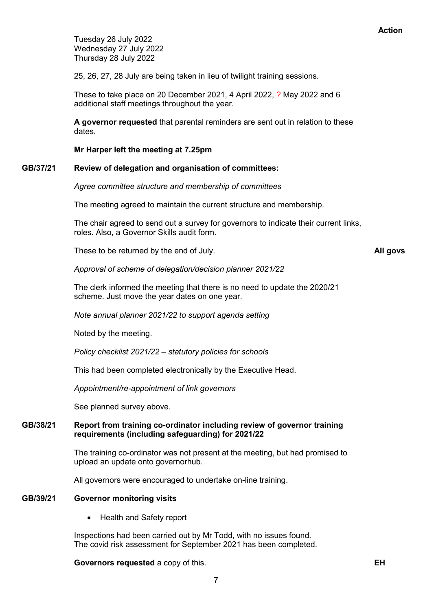Tuesday 26 July 2022 Wednesday 27 July 2022 Thursday 28 July 2022

25, 26, 27, 28 July are being taken in lieu of twilight training sessions.

These to take place on 20 December 2021, 4 April 2022, ? May 2022 and 6 additional staff meetings throughout the year.

**A governor requested** that parental reminders are sent out in relation to these dates.

**Mr Harper left the meeting at 7.25pm**

# **GB/37/21 Review of delegation and organisation of committees:**

*Agree committee structure and membership of committees*

The meeting agreed to maintain the current structure and membership.

The chair agreed to send out a survey for governors to indicate their current links, roles. Also, a Governor Skills audit form.

These to be returned by the end of July. **All govs**

*Approval of scheme of delegation/decision planner 2021/22*

The clerk informed the meeting that there is no need to update the 2020/21 scheme. Just move the year dates on one year.

*Note annual planner 2021/22 to support agenda setting*

Noted by the meeting.

*Policy checklist 2021/22 – statutory policies for schools*

This had been completed electronically by the Executive Head.

*Appointment/re-appointment of link governors*

See planned survey above.

# **GB/38/21 Report from training co-ordinator including review of governor training requirements (including safeguarding) for 2021/22**

The training co-ordinator was not present at the meeting, but had promised to upload an update onto governorhub.

All governors were encouraged to undertake on-line training.

# **GB/39/21 Governor monitoring visits**

• Health and Safety report

Inspections had been carried out by Mr Todd, with no issues found. The covid risk assessment for September 2021 has been completed.

#### **Governors requested** a copy of this. **EH**